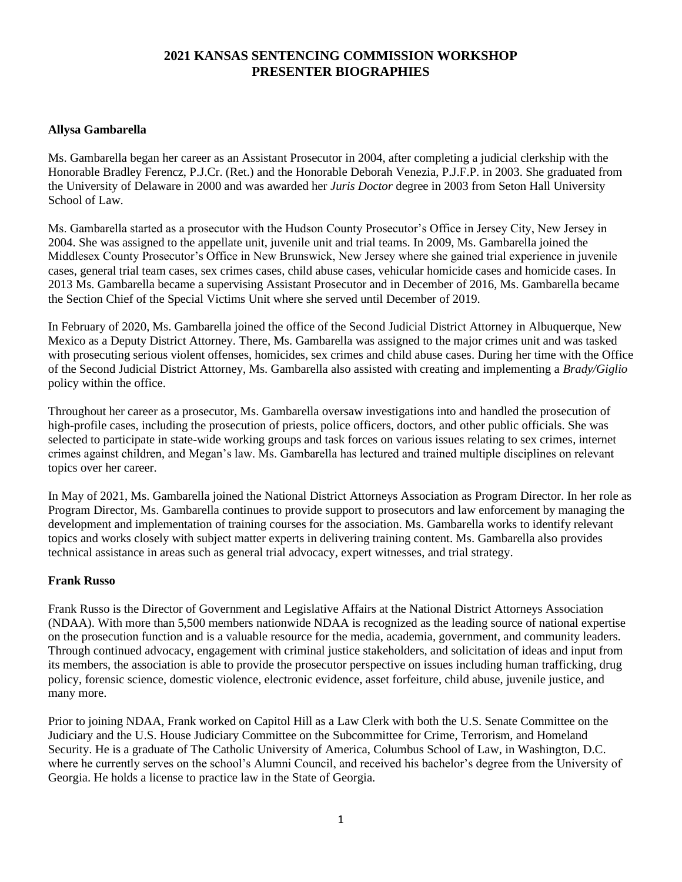# **2021 KANSAS SENTENCING COMMISSION WORKSHOP PRESENTER BIOGRAPHIES**

## **Allysa Gambarella**

Ms. Gambarella began her career as an Assistant Prosecutor in 2004, after completing a judicial clerkship with the Honorable Bradley Ferencz, P.J.Cr. (Ret.) and the Honorable Deborah Venezia, P.J.F.P. in 2003. She graduated from the University of Delaware in 2000 and was awarded her *Juris Doctor* degree in 2003 from Seton Hall University School of Law.

Ms. Gambarella started as a prosecutor with the Hudson County Prosecutor's Office in Jersey City, New Jersey in 2004. She was assigned to the appellate unit, juvenile unit and trial teams. In 2009, Ms. Gambarella joined the Middlesex County Prosecutor's Office in New Brunswick, New Jersey where she gained trial experience in juvenile cases, general trial team cases, sex crimes cases, child abuse cases, vehicular homicide cases and homicide cases. In 2013 Ms. Gambarella became a supervising Assistant Prosecutor and in December of 2016, Ms. Gambarella became the Section Chief of the Special Victims Unit where she served until December of 2019.

In February of 2020, Ms. Gambarella joined the office of the Second Judicial District Attorney in Albuquerque, New Mexico as a Deputy District Attorney. There, Ms. Gambarella was assigned to the major crimes unit and was tasked with prosecuting serious violent offenses, homicides, sex crimes and child abuse cases. During her time with the Office of the Second Judicial District Attorney, Ms. Gambarella also assisted with creating and implementing a *Brady/Giglio* policy within the office.

Throughout her career as a prosecutor, Ms. Gambarella oversaw investigations into and handled the prosecution of high-profile cases, including the prosecution of priests, police officers, doctors, and other public officials. She was selected to participate in state-wide working groups and task forces on various issues relating to sex crimes, internet crimes against children, and Megan's law. Ms. Gambarella has lectured and trained multiple disciplines on relevant topics over her career.

In May of 2021, Ms. Gambarella joined the National District Attorneys Association as Program Director. In her role as Program Director, Ms. Gambarella continues to provide support to prosecutors and law enforcement by managing the development and implementation of training courses for the association. Ms. Gambarella works to identify relevant topics and works closely with subject matter experts in delivering training content. Ms. Gambarella also provides technical assistance in areas such as general trial advocacy, expert witnesses, and trial strategy.

#### **Frank Russo**

Frank Russo is the Director of Government and Legislative Affairs at the National District Attorneys Association (NDAA). With more than 5,500 members nationwide NDAA is recognized as the leading source of national expertise on the prosecution function and is a valuable resource for the media, academia, government, and community leaders. Through continued advocacy, engagement with criminal justice stakeholders, and solicitation of ideas and input from its members, the association is able to provide the prosecutor perspective on issues including human trafficking, drug policy, forensic science, domestic violence, electronic evidence, asset forfeiture, child abuse, juvenile justice, and many more.

Prior to joining NDAA, Frank worked on Capitol Hill as a Law Clerk with both the U.S. Senate Committee on the Judiciary and the U.S. House Judiciary Committee on the Subcommittee for Crime, Terrorism, and Homeland Security. He is a graduate of The Catholic University of America, Columbus School of Law, in Washington, D.C. where he currently serves on the school's Alumni Council, and received his bachelor's degree from the University of Georgia. He holds a license to practice law in the State of Georgia.